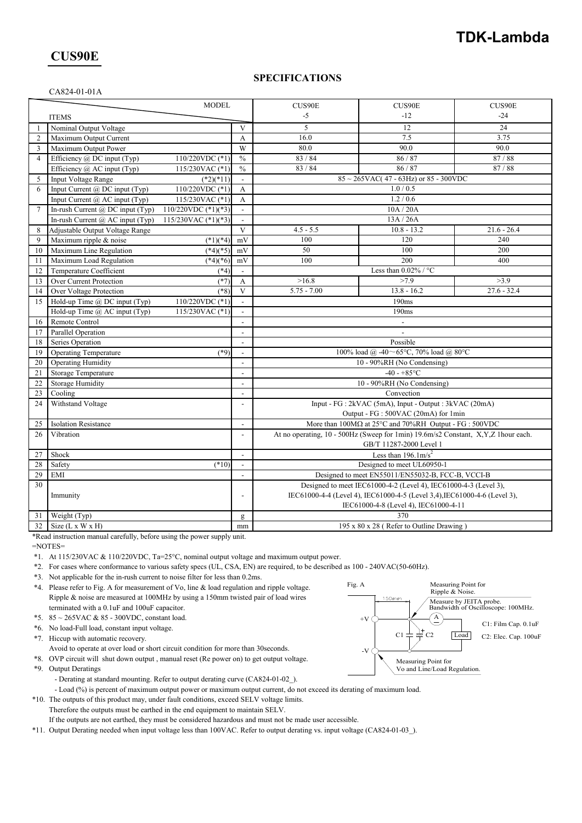# **TDK-Lambda**

## **CUS90E**

#### **SPECIFICATIONS**

| CA824-01-01A |  |  |
|--------------|--|--|

|                |                                                                         | <b>MODEL</b>          |                                                                           | CUS90E                                                                                            | CUS90E                                                                            | CUS90E        |  |
|----------------|-------------------------------------------------------------------------|-----------------------|---------------------------------------------------------------------------|---------------------------------------------------------------------------------------------------|-----------------------------------------------------------------------------------|---------------|--|
| <b>ITEMS</b>   |                                                                         |                       |                                                                           | $-5$                                                                                              | $-12$                                                                             | $-24$         |  |
| 1              | Nominal Output Voltage                                                  |                       | V                                                                         | 5                                                                                                 | 12                                                                                | 24            |  |
| 2              | Maximum Output Current                                                  |                       | A                                                                         | 16.0                                                                                              | 7.5                                                                               | 3.75          |  |
| 3              | Maximum Output Power                                                    |                       | W                                                                         | 80.0                                                                                              | 90.0                                                                              | 90.0          |  |
| $\overline{4}$ | Efficiency $\omega$ DC input (Typ)                                      | 110/220VDC (*1)       | $\frac{0}{0}$                                                             | 83/84                                                                                             | 86/87                                                                             | 87/88         |  |
|                | Efficiency @ AC input (Typ)                                             | 115/230VAC $(*1)$     | $\frac{0}{0}$                                                             | 83 / 84                                                                                           | 86/87                                                                             | 87/88         |  |
| 5              | Input Voltage Range                                                     | $(*2)(*11)$           |                                                                           |                                                                                                   | $85 \sim 265$ VAC(47 - 63Hz) or 85 - 300VDC                                       |               |  |
| 6              | Input Current @ DC input (Typ)                                          | 110/220VDC (*1)       | $\overline{A}$                                                            |                                                                                                   | 1.0 / 0.5                                                                         |               |  |
|                | Input Current @ AC input (Typ)                                          | 115/230VAC (*1)       | $\mathbf{A}$                                                              |                                                                                                   | 1.2 / 0.6                                                                         |               |  |
| $\tau$         | In-rush Current @ DC input (Typ)                                        | 110/220VDC $(*1)(*3)$ | $\overline{\phantom{a}}$                                                  |                                                                                                   | 10A / 20A                                                                         |               |  |
|                | In-rush Current $(a)$ AC input (Typ)                                    | 115/230VAC $(*1)(*3)$ |                                                                           |                                                                                                   | 13A / 26A                                                                         |               |  |
| 8              | Adjustable Output Voltage Range                                         |                       | $\overline{V}$                                                            | $4.5 - 5.5$                                                                                       | $10.8 - 13.2$                                                                     | $21.6 - 26.4$ |  |
| 9              | Maximum ripple & noise                                                  | $(*1)(*4)$            | mV                                                                        | 100                                                                                               | 120                                                                               | 240           |  |
| 10             | Maximum Line Regulation                                                 | $(*4)(*5)$            | mV                                                                        | 50                                                                                                | 100                                                                               | 200           |  |
| 11             | Maximum Load Regulation                                                 | $(*4)(*6)$            | mV                                                                        | 100                                                                                               | 200                                                                               | 400           |  |
| 12             | Temperature Coefficient                                                 | $(*4)$                | $\sim$                                                                    |                                                                                                   | Less than $0.02\%$ / °C                                                           |               |  |
| 13             | Over Current Protection                                                 | $(*7)$                | A                                                                         | >16.8                                                                                             | >7.9                                                                              | >3.9          |  |
| 14             | Over Voltage Protection                                                 | $(*8)$                | $\overline{\mathbf{V}}$                                                   | $5.75 - 7.00$                                                                                     | $13.8 - 16.2$                                                                     | $27.6 - 32.4$ |  |
| 15             | Hold-up Time @ DC input (Typ)                                           | 110/220VDC (*1)       |                                                                           | 190ms                                                                                             |                                                                                   |               |  |
|                | Hold-up Time $(a)$ AC input (Typ)                                       | $115/230$ VAC $(*1)$  |                                                                           | 190ms                                                                                             |                                                                                   |               |  |
| 16             | Remote Control                                                          |                       |                                                                           | $\overline{\phantom{a}}$                                                                          |                                                                                   |               |  |
| 17             | Parallel Operation                                                      |                       | $\overline{\phantom{a}}$                                                  |                                                                                                   |                                                                                   |               |  |
| 18             | Series Operation                                                        |                       |                                                                           | Possible                                                                                          |                                                                                   |               |  |
| 19             | Operating Temperature                                                   | $(*9)$                | $\overline{\phantom{a}}$                                                  | 100% load @ -40~65°C, 70% load @ 80°C                                                             |                                                                                   |               |  |
| 20             | <b>Operating Humidity</b>                                               |                       |                                                                           | 10 - 90%RH (No Condensing)                                                                        |                                                                                   |               |  |
| 21             | <b>Storage Temperature</b>                                              |                       | $\overline{\phantom{a}}$                                                  |                                                                                                   | $-40 - +85$ °C                                                                    |               |  |
| 22             | <b>Storage Humidity</b>                                                 |                       | $\overline{a}$                                                            | 10 - 90%RH (No Condensing)                                                                        |                                                                                   |               |  |
| 23             | Cooling                                                                 |                       | $\overline{\phantom{a}}$                                                  | Convection                                                                                        |                                                                                   |               |  |
| 24             | Withstand Voltage                                                       |                       | $\overline{\phantom{a}}$                                                  | Input - FG : 2kVAC (5mA), Input - Output : 3kVAC (20mA)                                           |                                                                                   |               |  |
|                |                                                                         |                       |                                                                           |                                                                                                   | Output - FG : 500VAC (20mA) for 1min                                              |               |  |
| 25             | <b>Isolation Resistance</b>                                             |                       | $\overline{a}$                                                            | More than $100\text{M}\Omega$ at $25^{\circ}\text{C}$ and $70\%$ RH Output - FG : $500\text{VDC}$ |                                                                                   |               |  |
| 26             | Vibration                                                               |                       | $\overline{a}$                                                            |                                                                                                   | At no operating, 10 - 500Hz (Sweep for 1min) 19.6m/s2 Constant, X,Y,Z 1hour each. |               |  |
|                |                                                                         |                       |                                                                           |                                                                                                   | GB/T 11287-2000 Level 1                                                           |               |  |
| 27             | Shock                                                                   |                       | $\overline{\phantom{a}}$                                                  | Less than $196.1 \text{m/s}^2$                                                                    |                                                                                   |               |  |
| 28             | Safety                                                                  | $(*10)$               |                                                                           | Designed to meet UL60950-1                                                                        |                                                                                   |               |  |
| 29             | <b>EMI</b>                                                              |                       |                                                                           | Designed to meet EN55011/EN55032-B, FCC-B, VCCI-B                                                 |                                                                                   |               |  |
| 30             |                                                                         |                       |                                                                           | Designed to meet IEC61000-4-2 (Level 4), IEC61000-4-3 (Level 3),                                  |                                                                                   |               |  |
|                | Immunity<br>$\overline{a}$                                              |                       | IEC61000-4-4 (Level 4), IEC61000-4-5 (Level 3,4), IEC61000-4-6 (Level 3), |                                                                                                   |                                                                                   |               |  |
|                |                                                                         |                       |                                                                           |                                                                                                   | IEC61000-4-8 (Level 4), IEC61000-4-11                                             |               |  |
| 31             | Weight (Typ)                                                            |                       | $\mathbf{g}$                                                              | 370                                                                                               |                                                                                   |               |  |
| 32             | Size $(L x W x H)$                                                      |                       | mm                                                                        | 195 x 80 x 28 (Refer to Outline Drawing)                                                          |                                                                                   |               |  |
|                | *Read instruction manual carefully, before using the power supply unit. |                       |                                                                           |                                                                                                   |                                                                                   |               |  |

=NOTES=

- \*1. At 115/230VAC & 110/220VDC, Ta=25°C, nominal output voltage and maximum output power.
- \*2. For cases where conformance to various safety specs (UL, CSA, EN) are required, to be described as 100 240VAC(50-60Hz).
- \*3. Not applicable for the in-rush current to noise filter for less than 0.2ms.
- \*4. Please refer to Fig. A for measurement of Vo, line & load regulation and ripple voltage. Ripple & noise are measured at 100MHz by using a 150mm twisted pair of load wires terminated with a 0.1uF and 100uF capacitor.
- \*5.  $85 \sim 265$ VAC &  $85 300$ VDC, constant load.
- \*6. No load-Full load, constant input voltage.
- \*7. Hiccup with automatic recovery.
- Avoid to operate at over load or short circuit condition for more than 30seconds.
- \*8. OVP circuit will shut down output , manual reset (Re power on) to get output voltage. \*9. Output Deratings
	- Derating at standard mounting. Refer to output derating curve (CA824-01-02\_).
	- Load (%) is percent of maximum output power or maximum output current, do not exceed its derating of maximum load.
- \*10. The outputs of this product may, under fault conditions, exceed SELV voltage limits.
	- Therefore the outputs must be earthed in the end equipment to maintain SELV. If the outputs are not earthed, they must be considered hazardous and must not be made user accessible.
- \*11. Output Derating needed when input voltage less than 100VAC. Refer to output derating vs. input voltage (CA824-01-03\_).

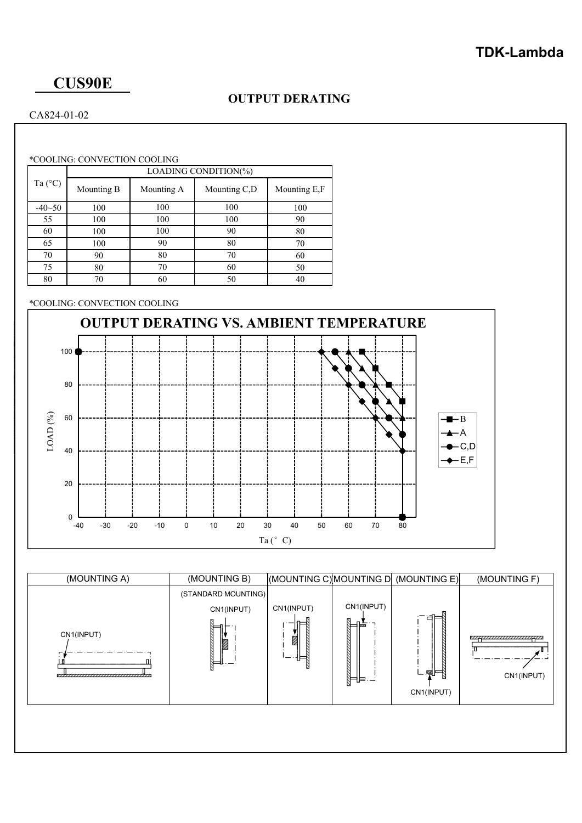# **CUS90E**

## **OUTPUT DERATING**

### CA824-01-02

\*COOLING: CONVECTION COOLING

|                  | LOADING CONDITION(%) |            |              |              |  |  |  |
|------------------|----------------------|------------|--------------|--------------|--|--|--|
| Ta $(^{\circ}C)$ | Mounting B           | Mounting A | Mounting C,D | Mounting E,F |  |  |  |
| $-40 - 50$       | 100                  | 100        | 100          | 100          |  |  |  |
| 55               | 100                  | 100        | 100          | 90           |  |  |  |
| 60               | 100                  | 100        | 90           | 80           |  |  |  |
| 65               | 100                  | 90         | 80           | 70           |  |  |  |
| 70               | 90                   | 80         | 70           | 60           |  |  |  |
| 75               | 80                   | 70         | 60           | 50           |  |  |  |
| 80               | 70                   | 60         | 50           | 40           |  |  |  |

### \*COOLING: CONVECTION COOLING